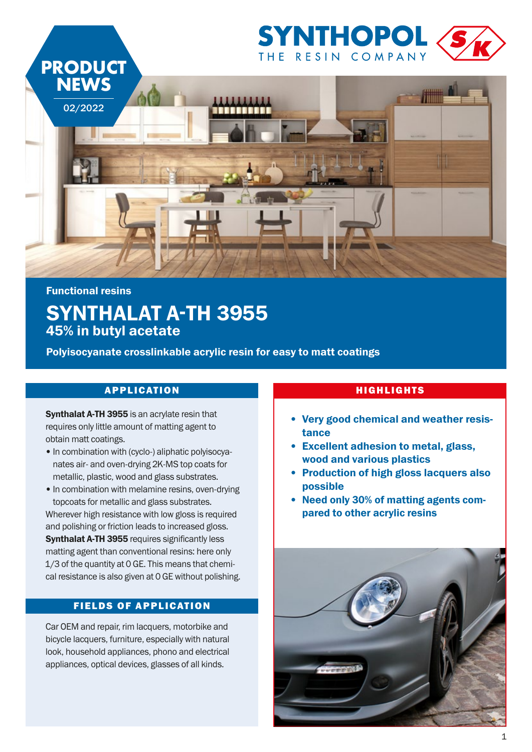

# Functional resins SYNTHALAT A-TH 3955 45% in butyl acetate

Polyisocyanate crosslinkable acrylic resin for easy to matt coatings

## APPLICATION NIGHLIGHTS

Synthalat A-TH 3955 is an acrylate resin that requires only little amount of matting agent to obtain matt coatings.

- In combination with (cyclo-) aliphatic polyisocyanates air- and oven-drying 2K-MS top coats for metallic, plastic, wood and glass substrates.
- In combination with melamine resins, oven-drying topcoats for metallic and glass substrates.

Wherever high resistance with low gloss is required and polishing or friction leads to increased gloss. Synthalat A-TH 3955 requires significantly less matting agent than conventional resins: here only 1/3 of the quantity at 0 GE. This means that chemical resistance is also given at 0 GE without polishing.

### FIELDS OF APPLICATION

Car OEM and repair, rim lacquers, motorbike and bicycle lacquers, furniture, especially with natural look, household appliances, phono and electrical appliances, optical devices, glasses of all kinds.

- Very good chemical and weather resistance
- Excellent adhesion to metal, glass, wood and various plastics
- Production of high gloss lacquers also possible
- Need only 30% of matting agents compared to other acrylic resins